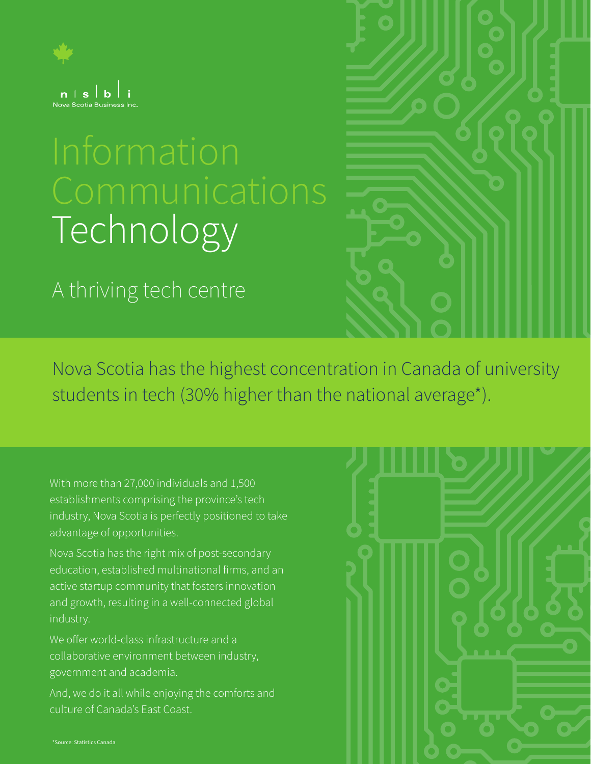

# Technology

A thriving tech centre

Nova Scotia has the highest concentration in Canada of university students in tech (30% higher than the national average\*).

With more than 27,000 individuals and 1,500 establishments comprising the province's tech industry, Nova Scotia is perfectly positioned to take advantage of opportunities.

Nova Scotia has the right mix of post-secondary education, established multinational firms, and an active startup community that fosters innovation and growth, resulting in a well-connected global industry.

We offer world-class infrastructure and a collaborative environment between industry, government and academia.

And, we do it all while enjoying the comforts and culture of Canada's East Coast.